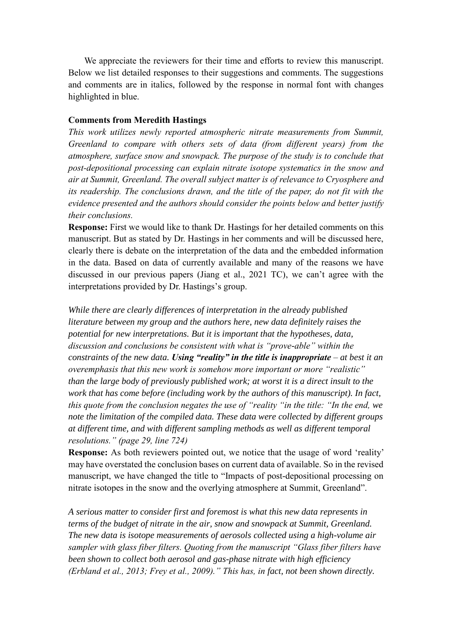We appreciate the reviewers for their time and efforts to review this manuscript. Below we list detailed responses to their suggestions and comments. The suggestions and comments are in italics, followed by the response in normal font with changes highlighted in blue.

#### **Comments from Meredith Hastings**

*This work utilizes newly reported atmospheric nitrate measurements from Summit, Greenland to compare with others sets of data (from different years) from the atmosphere, surface snow and snowpack. The purpose of the study is to conclude that post-depositional processing can explain nitrate isotope systematics in the snow and air at Summit, Greenland. The overall subject matter is of relevance to Cryosphere and its readership. The conclusions drawn, and the title of the paper, do not fit with the evidence presented and the authors should consider the points below and better justify their conclusions.* 

**Response:** First we would like to thank Dr. Hastings for her detailed comments on this manuscript. But as stated by Dr. Hastings in her comments and will be discussed here, clearly there is debate on the interpretation of the data and the embedded information in the data. Based on data of currently available and many of the reasons we have discussed in our previous papers (Jiang et al., 2021 TC), we can't agree with the interpretations provided by Dr. Hastings's group.

*While there are clearly differences of interpretation in the already published literature between my group and the authors here, new data definitely raises the potential for new interpretations. But it is important that the hypotheses, data, discussion and conclusions be consistent with what is "prove-able" within the constraints of the new data. Using "reality" in the title is inappropriate – at best it an overemphasis that this new work is somehow more important or more "realistic" than the large body of previously published work; at worst it is a direct insult to the work that has come before (including work by the authors of this manuscript). In fact, this quote from the conclusion negates the use of "reality "in the title: "In the end, we note the limitation of the compiled data. These data were collected by different groups at different time, and with different sampling methods as well as different temporal resolutions." (page 29, line 724)*

**Response:** As both reviewers pointed out, we notice that the usage of word 'reality' may have overstated the conclusion bases on current data of available. So in the revised manuscript, we have changed the title to "Impacts of post-depositional processing on nitrate isotopes in the snow and the overlying atmosphere at Summit, Greenland".

*A serious matter to consider first and foremost is what this new data represents in terms of the budget of nitrate in the air, snow and snowpack at Summit, Greenland. The new data is isotope measurements of aerosols collected using a high-volume air sampler with glass fiber filters. Quoting from the manuscript "Glass fiber filters have been shown to collect both aerosol and gas-phase nitrate with high efficiency (Erbland et al., 2013; Frey et al., 2009)." This has, in fact, not been shown directly.*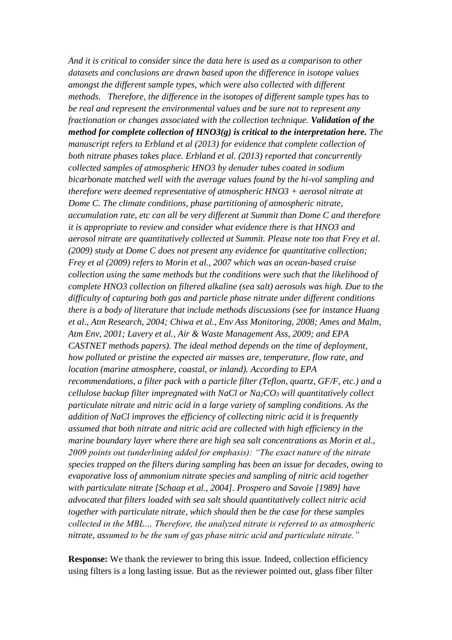*And it is critical to consider since the data here is used as a comparison to other datasets and conclusions are drawn based upon the difference in isotope values amongst the different sample types, which were also collected with different methods. Therefore, the difference in the isotopes of different sample types has to be real and represent the environmental values and be sure not to represent any fractionation or changes associated with the collection technique. Validation of the method for complete collection of HNO3(g) is critical to the interpretation here. The manuscript refers to Erbland et al (2013) for evidence that complete collection of both nitrate phases takes place. Erbland et al. (2013) reported that concurrently collected samples of atmospheric HNO3 by denuder tubes coated in sodium bicarbonate matched well with the average values found by the hi-vol sampling and therefore were deemed representative of atmospheric HNO3 + aerosol nitrate at Dome C. The climate conditions, phase partitioning of atmospheric nitrate, accumulation rate, etc can all be very different at Summit than Dome C and therefore it is appropriate to review and consider what evidence there is that HNO3 and aerosol nitrate are quantitatively collected at Summit. Please note too that Frey et al. (2009) study at Dome C does not present any evidence for quantitative collection; Frey et al (2009) refers to Morin et al., 2007 which was an ocean-based cruise collection using the same methods but the conditions were such that the likelihood of complete HNO3 collection on filtered alkaline (sea salt) aerosols was high. Due to the difficulty of capturing both gas and particle phase nitrate under different conditions there is a body of literature that include methods discussions (see for instance Huang et al., Atm Research, 2004; Chiwa et al., Env Ass Monitoring, 2008; Ames and Malm, Atm Env, 2001; Lavery et al., Air & Waste Management Ass, 2009; and EPA CASTNET methods papers). The ideal method depends on the time of deployment, how polluted or pristine the expected air masses are, temperature, flow rate, and location (marine atmosphere, coastal, or inland). According to EPA recommendations, a filter pack with a particle filter (Teflon, quartz, GF/F, etc.) and a cellulose backup filter impregnated with NaCl or Na2CO<sup>3</sup> will quantitatively collect particulate nitrate and nitric acid in a large variety of sampling conditions. As the addition of NaCl improves the efficiency of collecting nitric acid it is frequently assumed that both nitrate and nitric acid are collected with high efficiency in the marine boundary layer where there are high sea salt concentrations as Morin et al., 2009 points out (underlining added for emphasis): "The exact nature of the nitrate species trapped on the filters during sampling has been an issue for decades, owing to evaporative loss of ammonium nitrate species and sampling of nitric acid together with particulate nitrate [Schaap et al., 2004]. Prospero and Savoie [1989] have advocated that filters loaded with sea salt should quantitatively collect nitric acid together with particulate nitrate, which should then be the case for these samples collected in the MBL… Therefore, the analyzed nitrate is referred to as atmospheric nitrate, assumed to be the sum of gas phase nitric acid and particulate nitrate."*

**Response:** We thank the reviewer to bring this issue. Indeed, collection efficiency using filters is a long lasting issue. But as the reviewer pointed out, glass fiber filter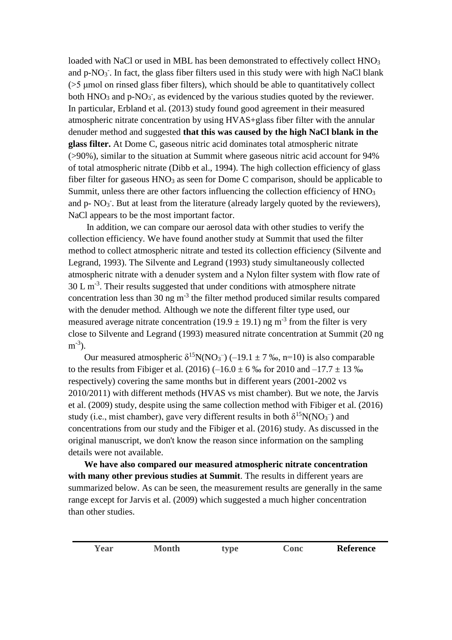loaded with NaCl or used in MBL has been demonstrated to effectively collect HNO<sub>3</sub> and p-NO<sub>3</sub>. In fact, the glass fiber filters used in this study were with high NaCl blank (>5 μmol on rinsed glass fiber filters), which should be able to quantitatively collect both  $HNO<sub>3</sub>$  and p- $NO<sub>3</sub>$ , as evidenced by the various studies quoted by the reviewer. In particular, Erbland et al. (2013) study found good agreement in their measured atmospheric nitrate concentration by using HVAS+glass fiber filter with the annular denuder method and suggested **that this was caused by the high NaCl blank in the glass filter.** At Dome C, gaseous nitric acid dominates total atmospheric nitrate (>90%), similar to the situation at Summit where gaseous nitric acid account for 94% of total atmospheric nitrate (Dibb et al., 1994). The high collection efficiency of glass fiber filter for gaseous  $HNO<sub>3</sub>$  as seen for Dome C comparison, should be applicable to Summit, unless there are other factors influencing the collection efficiency of HNO<sub>3</sub> and p- NO<sub>3</sub><sup>-</sup>. But at least from the literature (already largely quoted by the reviewers), NaCl appears to be the most important factor.

 In addition, we can compare our aerosol data with other studies to verify the collection efficiency. We have found another study at Summit that used the filter method to collect atmospheric nitrate and tested its collection efficiency (Silvente and Legrand, 1993). The Silvente and Legrand (1993) study simultaneously collected atmospheric nitrate with a denuder system and a Nylon filter system with flow rate of  $30$  L m<sup>-3</sup>. Their results suggested that under conditions with atmosphere nitrate concentration less than  $30 \text{ ng m}^{-3}$  the filter method produced similar results compared with the denuder method*.* Although we note the different filter type used, our measured average nitrate concentration (19.9  $\pm$  19.1) ng m<sup>-3</sup> from the filter is very close to Silvente and Legrand (1993) measured nitrate concentration at Summit (20 ng  $m^{-3}$ ).

Our measured atmospheric  $\delta^{15}N(NO_3^-)$  (-19.1  $\pm$  7 ‰, n=10) is also comparable to the results from Fibiger et al. (2016) (–16.0  $\pm$  6 ‰ for 2010 and –17.7  $\pm$  13 ‰ respectively) covering the same months but in different years (2001-2002 vs 2010/2011) with different methods (HVAS vs mist chamber). But we note, the Jarvis et al. (2009) study, despite using the same collection method with Fibiger et al. (2016) study (i.e., mist chamber), gave very different results in both  $\delta^{15}N(NO_3^-)$  and concentrations from our study and the Fibiger et al. (2016) study. As discussed in the original manuscript, we don't know the reason since information on the sampling details were not available.

**We have also compared our measured atmospheric nitrate concentration with many other previous studies at Summit**. The results in different years are summarized below. As can be seen, the measurement results are generally in the same range except for Jarvis et al. (2009) which suggested a much higher concentration than other studies.

| <b>Year</b> | ,,,,,, | onc | Reference |
|-------------|--------|-----|-----------|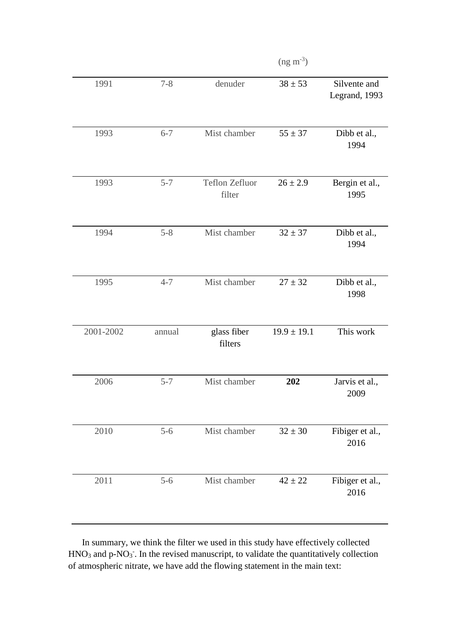|           |         |                                 | $(ng m-3)$      |                               |
|-----------|---------|---------------------------------|-----------------|-------------------------------|
| 1991      | $7 - 8$ | denuder                         | $38 \pm 53$     | Silvente and<br>Legrand, 1993 |
| 1993      | $6 - 7$ | Mist chamber                    | $55 \pm 37$     | Dibb et al.,<br>1994          |
| 1993      | $5 - 7$ | <b>Teflon Zefluor</b><br>filter | $26 \pm 2.9$    | Bergin et al.,<br>1995        |
| 1994      | $5 - 8$ | Mist chamber                    | $32 \pm 37$     | Dibb et al.,<br>1994          |
| 1995      | $4 - 7$ | Mist chamber                    | $27 \pm 32$     | Dibb et al.,<br>1998          |
| 2001-2002 | annual  | glass fiber<br>filters          | $19.9 \pm 19.1$ | This work                     |
| 2006      | $5 - 7$ | Mist chamber                    | 202             | Jarvis et al.,<br>2009        |
| 2010      | $5 - 6$ | Mist chamber                    | $32 \pm 30$     | Fibiger et al.,<br>2016       |
| 2011      | $5 - 6$ | Mist chamber                    | $42 \pm 22$     | Fibiger et al.,<br>2016       |

 In summary, we think the filter we used in this study have effectively collected  $HNO<sub>3</sub>$  and p- $NO<sub>3</sub>$ . In the revised manuscript, to validate the quantitatively collection of atmospheric nitrate, we have add the flowing statement in the main text: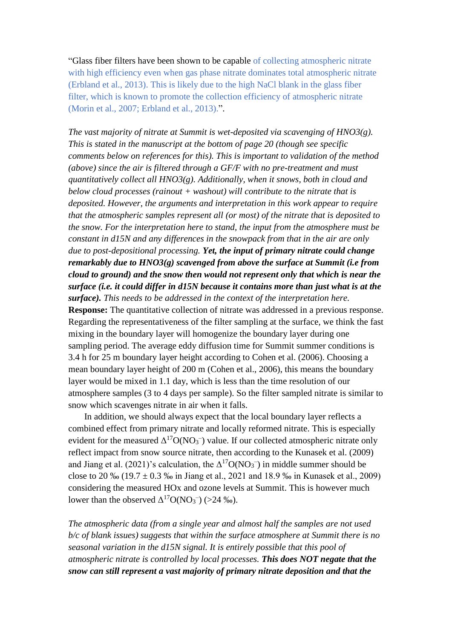"Glass fiber filters have been shown to be capable of collecting atmospheric nitrate with high efficiency even when gas phase nitrate dominates total atmospheric nitrate (Erbland et al., 2013). This is likely due to the high NaCl blank in the glass fiber filter, which is known to promote the collection efficiency of atmospheric nitrate (Morin et al., 2007; Erbland et al., 2013).".

*The vast majority of nitrate at Summit is wet-deposited via scavenging of HNO3(g). This is stated in the manuscript at the bottom of page 20 (though see specific comments below on references for this). This is important to validation of the method (above) since the air is filtered through a GF/F with no pre-treatment and must quantitatively collect all HNO3(g). Additionally, when it snows, both in cloud and below cloud processes (rainout + washout) will contribute to the nitrate that is deposited. However, the arguments and interpretation in this work appear to require that the atmospheric samples represent all (or most) of the nitrate that is deposited to the snow. For the interpretation here to stand, the input from the atmosphere must be constant in d15N and any differences in the snowpack from that in the air are only due to post-depositional processing. Yet, the input of primary nitrate could change remarkably due to HNO3(g) scavenged from above the surface at Summit (i.e from cloud to ground) and the snow then would not represent only that which is near the surface (i.e. it could differ in d15N because it contains more than just what is at the surface). This needs to be addressed in the context of the interpretation here.* **Response:** The quantitative collection of nitrate was addressed in a previous response. Regarding the representativeness of the filter sampling at the surface, we think the fast mixing in the boundary layer will homogenize the boundary layer during one sampling period. The average eddy diffusion time for Summit summer conditions is

3.4 h for 25 m boundary layer height according to Cohen et al. (2006). Choosing a mean boundary layer height of 200 m (Cohen et al., 2006), this means the boundary layer would be mixed in 1.1 day, which is less than the time resolution of our atmosphere samples (3 to 4 days per sample). So the filter sampled nitrate is similar to snow which scavenges nitrate in air when it falls.

In addition, we should always expect that the local boundary layer reflects a combined effect from primary nitrate and locally reformed nitrate. This is especially evident for the measured  $\Delta^{17}O(NO_3^-)$  value. If our collected atmospheric nitrate only reflect impact from snow source nitrate, then according to the Kunasek et al. (2009) and Jiang et al. (2021)'s calculation, the  $\Delta^{17}O(NO_3^-)$  in middle summer should be close to 20 ‰ (19.7  $\pm$  0.3 ‰ in Jiang et al., 2021 and 18.9 ‰ in Kunasek et al., 2009) considering the measured HOx and ozone levels at Summit. This is however much lower than the observed  $\Delta^{17}O(NO_3^-)$  (>24 ‰).

*The atmospheric data (from a single year and almost half the samples are not used b/c of blank issues) suggests that within the surface atmosphere at Summit there is no seasonal variation in the d15N signal. It is entirely possible that this pool of atmospheric nitrate is controlled by local processes. This does NOT negate that the snow can still represent a vast majority of primary nitrate deposition and that the*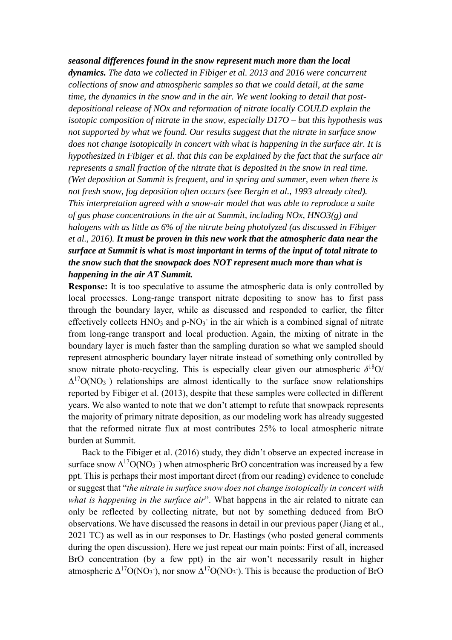# *seasonal differences found in the snow represent much more than the local dynamics. The data we collected in Fibiger et al. 2013 and 2016 were concurrent collections of snow and atmospheric samples so that we could detail, at the same time, the dynamics in the snow and in the air. We went looking to detail that postdepositional release of NOx and reformation of nitrate locally COULD explain the isotopic composition of nitrate in the snow, especially D17O – but this hypothesis was not supported by what we found. Our results suggest that the nitrate in surface snow does not change isotopically in concert with what is happening in the surface air. It is hypothesized in Fibiger et al. that this can be explained by the fact that the surface air represents a small fraction of the nitrate that is deposited in the snow in real time. (Wet deposition at Summit is frequent, and in spring and summer, even when there is not fresh snow, fog deposition often occurs (see Bergin et al., 1993 already cited). This interpretation agreed with a snow-air model that was able to reproduce a suite of gas phase concentrations in the air at Summit, including NOx, HNO3(g) and halogens with as little as 6% of the nitrate being photolyzed (as discussed in Fibiger et al., 2016). It must be proven in this new work that the atmospheric data near the surface at Summit is what is most important in terms of the input of total nitrate to the snow such that the snowpack does NOT represent much more than what is happening in the air AT Summit.*

**Response:** It is too speculative to assume the atmospheric data is only controlled by local processes. Long-range transport nitrate depositing to snow has to first pass through the boundary layer, while as discussed and responded to earlier, the filter effectively collects  $HNO<sub>3</sub>$  and  $p-NO<sub>3</sub>$  in the air which is a combined signal of nitrate from long-range transport and local production. Again, the mixing of nitrate in the boundary layer is much faster than the sampling duration so what we sampled should represent atmospheric boundary layer nitrate instead of something only controlled by snow nitrate photo-recycling. This is especially clear given our atmospheric  $\delta^{18}O$  $\Delta^{17}O(NO_3^-)$  relationships are almost identically to the surface snow relationships reported by Fibiger et al. (2013), despite that these samples were collected in different years. We also wanted to note that we don't attempt to refute that snowpack represents the majority of primary nitrate deposition, as our modeling work has already suggested that the reformed nitrate flux at most contributes 25% to local atmospheric nitrate burden at Summit.

 Back to the Fibiger et al. (2016) study, they didn't observe an expected increase in surface snow  $\Delta^{17}O(NO_3^-)$  when atmospheric BrO concentration was increased by a few ppt. This is perhaps their most important direct (from our reading) evidence to conclude or suggest that "*the nitrate in surface snow does not change isotopically in concert with what is happening in the surface air*". What happens in the air related to nitrate can only be reflected by collecting nitrate, but not by something deduced from BrO observations. We have discussed the reasons in detail in our previous paper (Jiang et al., 2021 TC) as well as in our responses to Dr. Hastings (who posted general comments during the open discussion). Here we just repeat our main points: First of all, increased BrO concentration (by a few ppt) in the air won't necessarily result in higher atmospheric  $\Delta^{17}O(NO_3)$ , nor snow  $\Delta^{17}O(NO_3)$ . This is because the production of BrO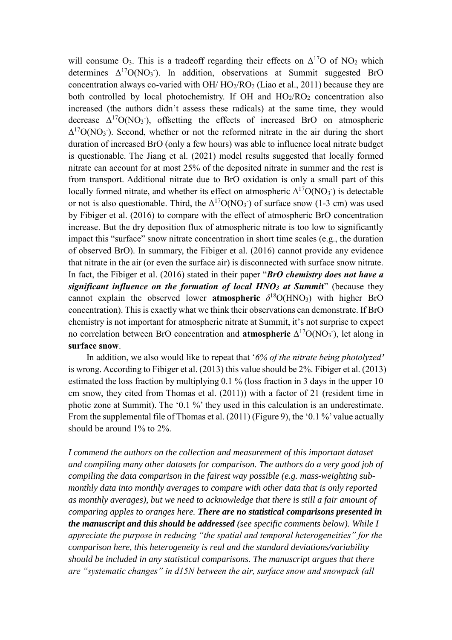will consume  $O_3$ . This is a tradeoff regarding their effects on  $\Delta^{17}O$  of NO<sub>2</sub> which determines  $\Delta^{17}O(NO_3)$ . In addition, observations at Summit suggested BrO concentration always co-varied with  $OH/HO<sub>2</sub>/RO<sub>2</sub>$  (Liao et al., 2011) because they are both controlled by local photochemistry. If OH and  $HO_2/RO_2$  concentration also increased (the authors didn't assess these radicals) at the same time, they would decrease  $\Delta^{17}O(NO_3)$ , offsetting the effects of increased BrO on atmospheric  $\Delta^{17}O(NO_3)$ . Second, whether or not the reformed nitrate in the air during the short duration of increased BrO (only a few hours) was able to influence local nitrate budget is questionable. The Jiang et al. (2021) model results suggested that locally formed nitrate can account for at most 25% of the deposited nitrate in summer and the rest is from transport. Additional nitrate due to BrO oxidation is only a small part of this locally formed nitrate, and whether its effect on atmospheric  $\Delta^{17}O(NO_3^-)$  is detectable or not is also questionable. Third, the  $\Delta^{17}O(NO_3)$  of surface snow (1-3 cm) was used by Fibiger et al. (2016) to compare with the effect of atmospheric BrO concentration increase. But the dry deposition flux of atmospheric nitrate is too low to significantly impact this "surface" snow nitrate concentration in short time scales (e.g., the duration of observed BrO). In summary, the Fibiger et al. (2016) cannot provide any evidence that nitrate in the air (or even the surface air) is disconnected with surface snow nitrate. In fact, the Fibiger et al. (2016) stated in their paper "*BrO chemistry does not have a significant influence on the formation of local HNO<sup>3</sup> at Summi***t**" (because they cannot explain the observed lower **atmospheric**  $\delta^{18}O(HNO_3)$  with higher BrO concentration). This is exactly what we think their observations can demonstrate. If BrO chemistry is not important for atmospheric nitrate at Summit, it's not surprise to expect no correlation between BrO concentration and **atmospheric**  $\Delta^{17}O(NO_3)$ , let along in **surface snow**.

In addition, we also would like to repeat that '*6% of the nitrate being photolyzed'*  is wrong. According to Fibiger et al. (2013) this value should be 2%. Fibiger et al. (2013) estimated the loss fraction by multiplying 0.1 % (loss fraction in 3 days in the upper 10 cm snow, they cited from Thomas et al. (2011)) with a factor of 21 (resident time in photic zone at Summit). The '0.1 %' they used in this calculation is an underestimate. From the supplemental file of Thomas et al. (2011) (Figure 9), the '0.1 %' value actually should be around 1% to 2%.

*I commend the authors on the collection and measurement of this important dataset and compiling many other datasets for comparison. The authors do a very good job of compiling the data comparison in the fairest way possible (e.g. mass-weighting submonthly data into monthly averages to compare with other data that is only reported as monthly averages), but we need to acknowledge that there is still a fair amount of comparing apples to oranges here. There are no statistical comparisons presented in the manuscript and this should be addressed (see specific comments below). While I appreciate the purpose in reducing "the spatial and temporal heterogeneities" for the comparison here, this heterogeneity is real and the standard deviations/variability should be included in any statistical comparisons. The manuscript argues that there are "systematic changes" in d15N between the air, surface snow and snowpack (all*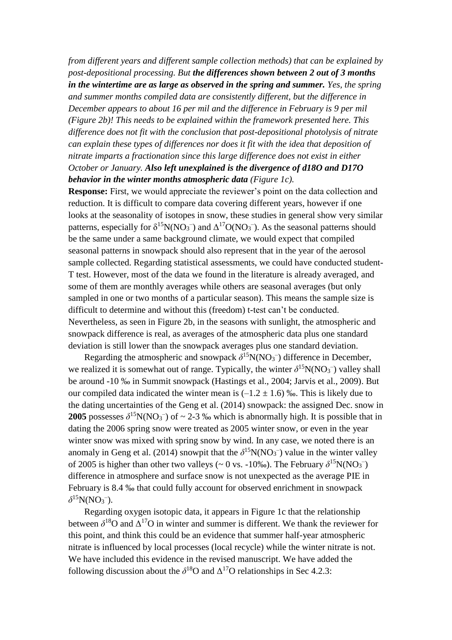*from different years and different sample collection methods) that can be explained by post-depositional processing. But the differences shown between 2 out of 3 months in the wintertime are as large as observed in the spring and summer. Yes, the spring and summer months compiled data are consistently different, but the difference in December appears to about 16 per mil and the difference in February is 9 per mil (Figure 2b)! This needs to be explained within the framework presented here. This difference does not fit with the conclusion that post-depositional photolysis of nitrate can explain these types of differences nor does it fit with the idea that deposition of nitrate imparts a fractionation since this large difference does not exist in either October or January. Also left unexplained is the divergence of d18O and D17O behavior in the winter months atmospheric data (Figure 1c).*

**Response:** First, we would appreciate the reviewer's point on the data collection and reduction. It is difficult to compare data covering different years, however if one looks at the seasonality of isotopes in snow, these studies in general show very similar patterns, especially for  $\delta^{15}N(NO_3^-)$  and  $\Delta^{17}O(NO_3^-)$ . As the seasonal patterns should be the same under a same background climate, we would expect that compiled seasonal patterns in snowpack should also represent that in the year of the aerosol sample collected. Regarding statistical assessments, we could have conducted student-T test. However, most of the data we found in the literature is already averaged, and some of them are monthly averages while others are seasonal averages (but only sampled in one or two months of a particular season). This means the sample size is difficult to determine and without this (freedom) t-test can't be conducted. Nevertheless, as seen in Figure 2b, in the seasons with sunlight, the atmospheric and snowpack difference is real, as averages of the atmospheric data plus one standard deviation is still lower than the snowpack averages plus one standard deviation.

Regarding the atmospheric and snowpack  $\delta^{15}N(NO_3^-)$  difference in December, we realized it is somewhat out of range. Typically, the winter  $\delta^{15}N(NO_3^-)$  valley shall be around -10 ‰ in Summit snowpack (Hastings et al., 2004; Jarvis et al., 2009). But our compiled data indicated the winter mean is  $(-1.2 \pm 1.6)$  ‰. This is likely due to the dating uncertainties of the Geng et al. (2014) snowpack: the assigned Dec. snow in **2005** possesses  $\delta^{15}N(NO_3^-)$  of  $\sim$  2-3 ‰ which is abnormally high. It is possible that in dating the 2006 spring snow were treated as 2005 winter snow, or even in the year winter snow was mixed with spring snow by wind. In any case, we noted there is an anomaly in Geng et al. (2014) snowpit that the  $\delta^{15}N(NO_3^-)$  value in the winter valley of 2005 is higher than other two valleys ( $\sim$  0 vs. -10‰). The February  $\delta^{15}N(NO_3^-)$ difference in atmosphere and surface snow is not unexpected as the average PIE in February is 8.4 ‰ that could fully account for observed enrichment in snowpack  $\delta^{15}N(NO_3^{-}).$ 

Regarding oxygen isotopic data, it appears in Figure 1c that the relationship between  $\delta^{18}$ O and  $\Delta^{17}$ O in winter and summer is different. We thank the reviewer for this point, and think this could be an evidence that summer half-year atmospheric nitrate is influenced by local processes (local recycle) while the winter nitrate is not. We have included this evidence in the revised manuscript. We have added the following discussion about the  $\delta^{18}$ O and  $\Delta^{17}$ O relationships in Sec 4.2.3: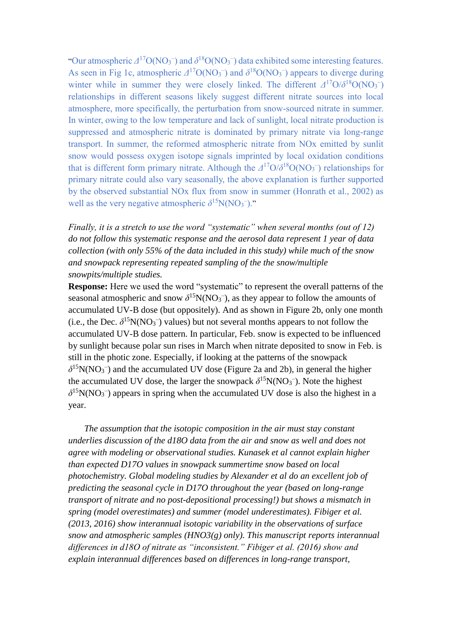"Our atmospheric  $\Delta^{17}O(NO_3^-)$  and  $\delta^{18}O(NO_3^-)$  data exhibited some interesting features. As seen in Fig 1c, atmospheric  $\Delta^{17}O(NO_3^-)$  and  $\delta^{18}O(NO_3^-)$  appears to diverge during winter while in summer they were closely linked. The different  $\Delta^{17}O/\delta^{18}O(NO_3^-)$ relationships in different seasons likely suggest different nitrate sources into local atmosphere, more specifically, the perturbation from snow-sourced nitrate in summer. In winter, owing to the low temperature and lack of sunlight, local nitrate production is suppressed and atmospheric nitrate is dominated by primary nitrate via long-range transport. In summer, the reformed atmospheric nitrate from NOx emitted by sunlit snow would possess oxygen isotope signals imprinted by local oxidation conditions that is different form primary nitrate. Although the  $\Delta^{17}O/\delta^{18}O(NO_3^-)$  relationships for primary nitrate could also vary seasonally, the above explanation is further supported by the observed substantial NOx flux from snow in summer (Honrath et al., 2002) as well as the very negative atmospheric  $\delta^{15}N(NO_3^-)$ ."

*Finally, it is a stretch to use the word "systematic" when several months (out of 12) do not follow this systematic response and the aerosol data represent 1 year of data collection (with only 55% of the data included in this study) while much of the snow and snowpack representing repeated sampling of the the snow/multiple snowpits/multiple studies.*

**Response:** Here we used the word "systematic" to represent the overall patterns of the seasonal atmospheric and snow  $\delta^{15}N(NO_3)$ , as they appear to follow the amounts of accumulated UV-B dose (but oppositely). And as shown in Figure 2b, only one month (i.e., the Dec.  $\delta^{15}N(NO_3^-)$  values) but not several months appears to not follow the accumulated UV-B dose pattern. In particular, Feb. snow is expected to be influenced by sunlight because polar sun rises in March when nitrate deposited to snow in Feb. is still in the photic zone. Especially, if looking at the patterns of the snowpack  $\delta$ <sup>15</sup>N(NO<sub>3</sub><sup>-</sup>) and the accumulated UV dose (Figure 2a and 2b), in general the higher the accumulated UV dose, the larger the snowpack  $\delta^{15}N(NO_3^-)$ . Note the highest  $\delta$ <sup>15</sup>N(NO<sub>3</sub><sup>-</sup>) appears in spring when the accumulated UV dose is also the highest in a year.

*The assumption that the isotopic composition in the air must stay constant underlies discussion of the d18O data from the air and snow as well and does not agree with modeling or observational studies. Kunasek et al cannot explain higher than expected D17O values in snowpack summertime snow based on local photochemistry. Global modeling studies by Alexander et al do an excellent job of predicting the seasonal cycle in D17O throughout the year (based on long-range transport of nitrate and no post-depositional processing!) but shows a mismatch in spring (model overestimates) and summer (model underestimates). Fibiger et al. (2013, 2016) show interannual isotopic variability in the observations of surface snow and atmospheric samples (HNO3(g) only). This manuscript reports interannual differences in d18O of nitrate as "inconsistent." Fibiger et al. (2016) show and explain interannual differences based on differences in long-range transport,*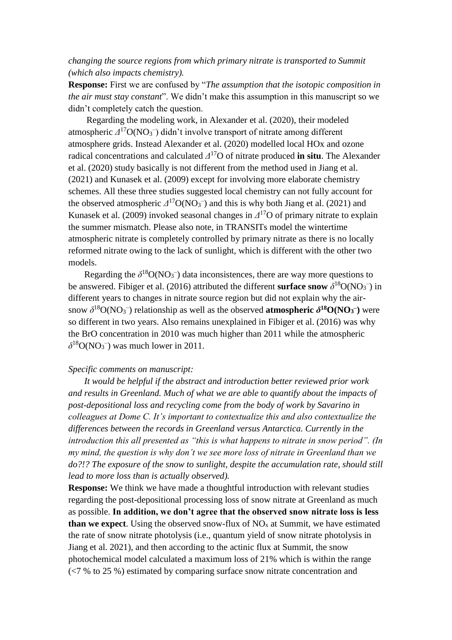## *changing the source regions from which primary nitrate is transported to Summit (which also impacts chemistry).*

**Response:** First we are confused by "*The assumption that the isotopic composition in the air must stay constant*". We didn't make this assumption in this manuscript so we didn't completely catch the question.

 Regarding the modeling work, in Alexander et al. (2020), their modeled atmospheric  $\Delta^{17}O(NO_3^-)$  didn't involve transport of nitrate among different atmosphere grids. Instead Alexander et al. (2020) modelled local HOx and ozone radical concentrations and calculated *Δ* <sup>17</sup>O of nitrate produced **in situ**. The Alexander et al. (2020) study basically is not different from the method used in Jiang et al. (2021) and Kunasek et al. (2009) except for involving more elaborate chemistry schemes. All these three studies suggested local chemistry can not fully account for the observed atmospheric  $\Delta^{17}O(NO_3^-)$  and this is why both Jiang et al. (2021) and Kunasek et al. (2009) invoked seasonal changes in *Δ* <sup>17</sup>O of primary nitrate to explain the summer mismatch. Please also note, in TRANSITs model the wintertime atmospheric nitrate is completely controlled by primary nitrate as there is no locally reformed nitrate owing to the lack of sunlight, which is different with the other two models.

Regarding the  $\delta^{18}O(NO_3^-)$  data inconsistences, there are way more questions to be answered. Fibiger et al. (2016) attributed the different **surface snow**  $\delta^{18}O(NO_3^-)$  in different years to changes in nitrate source region but did not explain why the airsnow  $\delta^{18}O(NO_3^-)$  relationship as well as the observed **atmospheric**  $\delta^{18}O(NO_3^-)$  were so different in two years. Also remains unexplained in Fibiger et al. (2016) was why the BrO concentration in 2010 was much higher than 2011 while the atmospheric  $\delta^{18}O(NO_3^-)$  was much lower in 2011.

#### *Specific comments on manuscript:*

*It would be helpful if the abstract and introduction better reviewed prior work and results in Greenland. Much of what we are able to quantify about the impacts of post-depositional loss and recycling come from the body of work by Savarino in colleagues at Dome C. It's important to contextualize this and also contextualize the differences between the records in Greenland versus Antarctica. Currently in the introduction this all presented as "this is what happens to nitrate in snow period". (In my mind, the question is why don't we see more loss of nitrate in Greenland than we do?!? The exposure of the snow to sunlight, despite the accumulation rate, should still lead to more loss than is actually observed).*

**Response:** We think we have made a thoughtful introduction with relevant studies regarding the post-depositional processing loss of snow nitrate at Greenland as much as possible. **In addition, we don't agree that the observed snow nitrate loss is less than we expect.** Using the observed snow-flux of  $NO<sub>x</sub>$  at Summit, we have estimated the rate of snow nitrate photolysis (i.e., quantum yield of snow nitrate photolysis in Jiang et al. 2021), and then according to the actinic flux at Summit, the snow photochemical model calculated a maximum loss of 21% which is within the range (<7 % to 25 %) estimated by comparing surface snow nitrate concentration and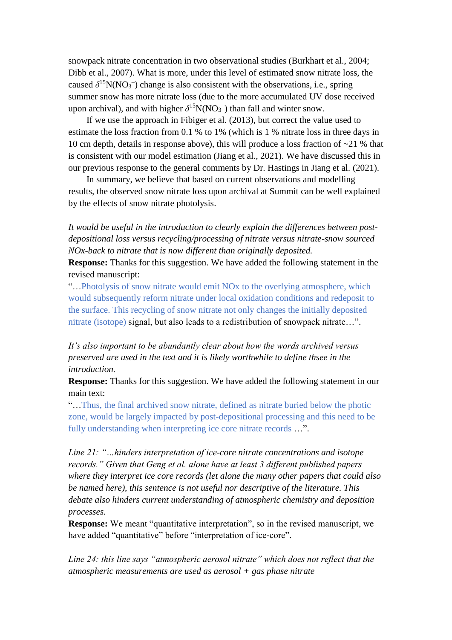snowpack nitrate concentration in two observational studies (Burkhart et al., 2004; Dibb et al., 2007). What is more, under this level of estimated snow nitrate loss, the caused  $\delta^{15}N(NO_3^-)$  change is also consistent with the observations, i.e., spring summer snow has more nitrate loss (due to the more accumulated UV dose received upon archival), and with higher  $\delta^{15}N(NO_3^-)$  than fall and winter snow.

If we use the approach in Fibiger et al. (2013), but correct the value used to estimate the loss fraction from 0.1 % to 1% (which is 1 % nitrate loss in three days in 10 cm depth, details in response above), this will produce a loss fraction of  $\sim$ 21 % that is consistent with our model estimation (Jiang et al., 2021). We have discussed this in our previous response to the general comments by Dr. Hastings in Jiang et al. (2021).

In summary, we believe that based on current observations and modelling results, the observed snow nitrate loss upon archival at Summit can be well explained by the effects of snow nitrate photolysis.

*It would be useful in the introduction to clearly explain the differences between postdepositional loss versus recycling/processing of nitrate versus nitrate-snow sourced NOx-back to nitrate that is now different than originally deposited.*

**Response:** Thanks for this suggestion. We have added the following statement in the revised manuscript:

"…Photolysis of snow nitrate would emit NOx to the overlying atmosphere, which would subsequently reform nitrate under local oxidation conditions and redeposit to the surface. This recycling of snow nitrate not only changes the initially deposited nitrate (isotope) signal, but also leads to a redistribution of snowpack nitrate…".

*It's also important to be abundantly clear about how the words archived versus preserved are used in the text and it is likely worthwhile to define thsee in the introduction.*

**Response:** Thanks for this suggestion. We have added the following statement in our main text:

"…Thus, the final archived snow nitrate, defined as nitrate buried below the photic zone, would be largely impacted by post-depositional processing and this need to be fully understanding when interpreting ice core nitrate records …".

*Line 21: "…hinders interpretation of ice-core nitrate concentrations and isotope records." Given that Geng et al. alone have at least 3 different published papers where they interpret ice core records (let alone the many other papers that could also be named here), this sentence is not useful nor descriptive of the literature. This debate also hinders current understanding of atmospheric chemistry and deposition processes.*

**Response:** We meant "quantitative interpretation", so in the revised manuscript, we have added "quantitative" before "interpretation of ice-core".

*Line 24: this line says "atmospheric aerosol nitrate" which does not reflect that the atmospheric measurements are used as aerosol + gas phase nitrate*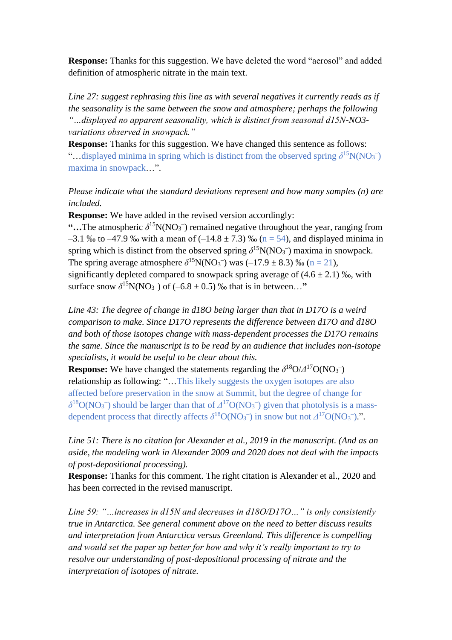**Response:** Thanks for this suggestion. We have deleted the word "aerosol" and added definition of atmospheric nitrate in the main text.

*Line 27: suggest rephrasing this line as with several negatives it currently reads as if the seasonality is the same between the snow and atmosphere; perhaps the following "…displayed no apparent seasonality, which is distinct from seasonal d15N-NO3 variations observed in snowpack."*

**Response:** Thanks for this suggestion. We have changed this sentence as follows: "...displayed minima in spring which is distinct from the observed spring  $\delta^{15}N(NO_3^-)$ maxima in snowpack…".

*Please indicate what the standard deviations represent and how many samples (n) are included.*

**Response:** We have added in the revised version accordingly:

"...The atmospheric  $\delta^{15}N(NO_3^-)$  remained negative throughout the year, ranging from  $-3.1$  ‰ to  $-47.9$  ‰ with a mean of  $(-14.8 \pm 7.3)$  ‰ (n = 54), and displayed minima in spring which is distinct from the observed spring  $\delta^{15}N(NO_3^-)$  maxima in snowpack. The spring average atmosphere  $\delta^{15}N(NO_3^-)$  was  $(-17.9 \pm 8.3)$  ‰ (n = 21), significantly depleted compared to snowpack spring average of  $(4.6 \pm 2.1)$  ‰, with surface snow  $\delta^{15}N(NO_3^-)$  of  $(-6.8 \pm 0.5)$  ‰ that is in between..."

*Line 43: The degree of change in d18O being larger than that in D17O is a weird comparison to make. Since D17O represents the difference between d17O and d18O and both of those isotopes change with mass-dependent processes the D17O remains the same. Since the manuscript is to be read by an audience that includes non-isotope specialists, it would be useful to be clear about this.*

**Response:** We have changed the statements regarding the  $\delta^{18}O/\Delta^{17}O(NO_3^-)$ relationship as following: "…This likely suggests the oxygen isotopes are also affected before preservation in the snow at Summit, but the degree of change for  $\delta^{18}O(NO_3^-)$  should be larger than that of  $\Delta^{17}O(NO_3^-)$  given that photolysis is a massdependent process that directly affects  $\delta^{18}O(NO_3^-)$  in snow but not  $\Delta^{17}O(NO_3^-)$ .".

*Line 51: There is no citation for Alexander et al., 2019 in the manuscript. (And as an aside, the modeling work in Alexander 2009 and 2020 does not deal with the impacts of post-depositional processing).*

**Response:** Thanks for this comment. The right citation is Alexander et al., 2020 and has been corrected in the revised manuscript.

*Line 59: "…increases in d15N and decreases in d18O/D17O…" is only consistently true in Antarctica. See general comment above on the need to better discuss results and interpretation from Antarctica versus Greenland. This difference is compelling and would set the paper up better for how and why it's really important to try to resolve our understanding of post-depositional processing of nitrate and the interpretation of isotopes of nitrate.*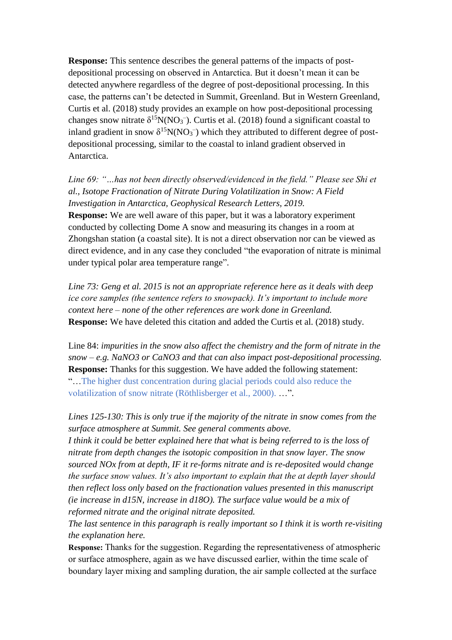**Response:** This sentence describes the general patterns of the impacts of postdepositional processing on observed in Antarctica. But it doesn't mean it can be detected anywhere regardless of the degree of post-depositional processing. In this case, the patterns can't be detected in Summit, Greenland. But in Western Greenland, Curtis et al. (2018) study provides an example on how post-depositional processing changes snow nitrate  $\delta^{15}N(NO_3)$ . Curtis et al. (2018) found a significant coastal to inland gradient in snow  $\delta^{15}N(NO_3^-)$  which they attributed to different degree of postdepositional processing, similar to the coastal to inland gradient observed in Antarctica.

*Line 69: "…has not been directly observed/evidenced in the field." Please see Shi et al., Isotope Fractionation of Nitrate During Volatilization in Snow: A Field Investigation in Antarctica, Geophysical Research Letters, 2019.* **Response:** We are well aware of this paper, but it was a laboratory experiment conducted by collecting Dome A snow and measuring its changes in a room at Zhongshan station (a coastal site). It is not a direct observation nor can be viewed as direct evidence, and in any case they concluded "the evaporation of nitrate is minimal under typical polar area temperature range".

*Line 73: Geng et al. 2015 is not an appropriate reference here as it deals with deep ice core samples (the sentence refers to snowpack). It's important to include more context here – none of the other references are work done in Greenland.* **Response:** We have deleted this citation and added the Curtis et al. (2018) study.

Line 84: *impurities in the snow also affect the chemistry and the form of nitrate in the snow – e.g. NaNO3 or CaNO3 and that can also impact post-depositional processing.* **Response:** Thanks for this suggestion. We have added the following statement: "…The higher dust concentration during glacial periods could also reduce the volatilization of snow nitrate (Röthlisberger et al., 2000). …".

*Lines 125-130: This is only true if the majority of the nitrate in snow comes from the surface atmosphere at Summit. See general comments above.* 

*I think it could be better explained here that what is being referred to is the loss of nitrate from depth changes the isotopic composition in that snow layer. The snow sourced NOx from at depth, IF it re-forms nitrate and is re-deposited would change the surface snow values. It's also important to explain that the at depth layer should then reflect loss only based on the fractionation values presented in this manuscript (ie increase in d15N, increase in d18O). The surface value would be a mix of reformed nitrate and the original nitrate deposited.*

*The last sentence in this paragraph is really important so I think it is worth re-visiting the explanation here.*

**Response:** Thanks for the suggestion. Regarding the representativeness of atmospheric or surface atmosphere, again as we have discussed earlier, within the time scale of boundary layer mixing and sampling duration, the air sample collected at the surface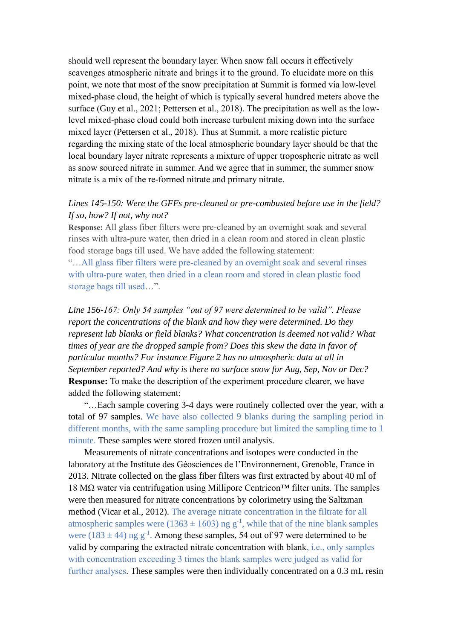should well represent the boundary layer. When snow fall occurs it effectively scavenges atmospheric nitrate and brings it to the ground. To elucidate more on this point, we note that most of the snow precipitation at Summit is formed via low-level mixed-phase cloud, the height of which is typically several hundred meters above the surface (Guy et al., 2021; Pettersen et al., 2018). The precipitation as well as the lowlevel mixed-phase cloud could both increase turbulent mixing down into the surface mixed layer (Pettersen et al., 2018). Thus at Summit, a more realistic picture regarding the mixing state of the local atmospheric boundary layer should be that the local boundary layer nitrate represents a mixture of upper tropospheric nitrate as well as snow sourced nitrate in summer. And we agree that in summer, the summer snow nitrate is a mix of the re-formed nitrate and primary nitrate.

# *Lines 145-150: Were the GFFs pre-cleaned or pre-combusted before use in the field? If so, how? If not, why not?*

**Response:** All glass fiber filters were pre-cleaned by an overnight soak and several rinses with ultra-pure water, then dried in a clean room and stored in clean plastic food storage bags till used. We have added the following statement:

"…All glass fiber filters were pre-cleaned by an overnight soak and several rinses with ultra-pure water, then dried in a clean room and stored in clean plastic food storage bags till used…".

*Line 156-167: Only 54 samples "out of 97 were determined to be valid". Please report the concentrations of the blank and how they were determined. Do they represent lab blanks or field blanks? What concentration is deemed not valid? What times of year are the dropped sample from? Does this skew the data in favor of particular months? For instance Figure 2 has no atmospheric data at all in September reported? And why is there no surface snow for Aug, Sep, Nov or Dec?* **Response:** To make the description of the experiment procedure clearer, we have added the following statement:

"…Each sample covering 3-4 days were routinely collected over the year, with a total of 97 samples. We have also collected 9 blanks during the sampling period in different months, with the same sampling procedure but limited the sampling time to 1 minute. These samples were stored frozen until analysis.

Measurements of nitrate concentrations and isotopes were conducted in the laboratory at the Institute des Géosciences de l'Environnement, Grenoble, France in 2013. Nitrate collected on the glass fiber filters was first extracted by about 40 ml of 18 MΩ water via centrifugation using Millipore Centricon™ filter units. The samples were then measured for nitrate concentrations by colorimetry using the Saltzman method (Vicar et al., 2012). The average nitrate concentration in the filtrate for all atmospheric samples were (1363  $\pm$  1603) ng g<sup>-1</sup>, while that of the nine blank samples were (183  $\pm$  44) ng g<sup>-1</sup>. Among these samples, 54 out of 97 were determined to be valid by comparing the extracted nitrate concentration with blank, i.e., only samples with concentration exceeding 3 times the blank samples were judged as valid for further analyses. These samples were then individually concentrated on a 0.3 mL resin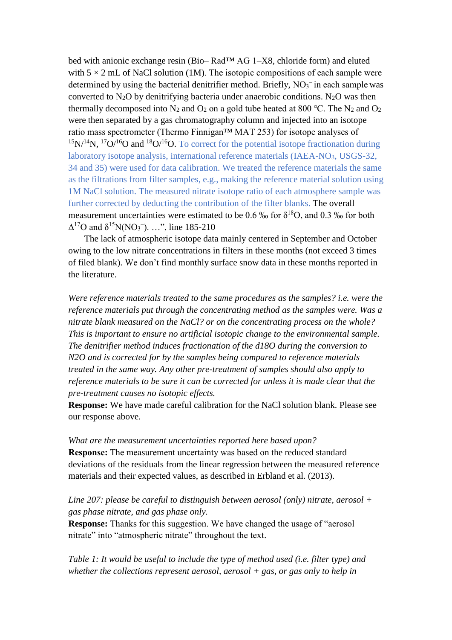bed with anionic exchange resin (Bio– Rad™ AG 1–X8, chloride form) and eluted with  $5 \times 2$  mL of NaCl solution (1M). The isotopic compositions of each sample were determined by using the bacterial denitrifier method. Briefly,  $NO<sub>3</sub><sup>-</sup>$  in each sample was converted to  $N_2O$  by denitrifying bacteria under anaerobic conditions.  $N_2O$  was then thermally decomposed into N<sub>2</sub> and O<sub>2</sub> on a gold tube heated at 800 °C. The N<sub>2</sub> and O<sub>2</sub> were then separated by a gas chromatography column and injected into an isotope ratio mass spectrometer (Thermo Finnigan™ MAT 253) for isotope analyses of  $15N/14N$ ,  $17O/16O$  and  $18O/16O$ . To correct for the potential isotope fractionation during laboratory isotope analysis, international reference materials (IAEA-NO<sub>3</sub>, USGS-32, 34 and 35) were used for data calibration. We treated the reference materials the same as the filtrations from filter samples, e.g., making the reference material solution using 1M NaCl solution. The measured nitrate isotope ratio of each atmosphere sample was further corrected by deducting the contribution of the filter blanks. The overall measurement uncertainties were estimated to be 0.6 ‰ for  $\delta^{18}O$ , and 0.3 ‰ for both  $Δ<sup>17</sup>O$  and  $δ<sup>15</sup>N(NO<sub>3</sub><sup>-</sup>)$ . ...", line 185-210

The lack of atmospheric isotope data mainly centered in September and October owing to the low nitrate concentrations in filters in these months (not exceed 3 times of filed blank). We don't find monthly surface snow data in these months reported in the literature.

*Were reference materials treated to the same procedures as the samples? i.e. were the reference materials put through the concentrating method as the samples were. Was a nitrate blank measured on the NaCl? or on the concentrating process on the whole? This is important to ensure no artificial isotopic change to the environmental sample. The denitrifier method induces fractionation of the d18O during the conversion to N2O and is corrected for by the samples being compared to reference materials treated in the same way. Any other pre-treatment of samples should also apply to reference materials to be sure it can be corrected for unless it is made clear that the pre-treatment causes no isotopic effects.*

**Response:** We have made careful calibration for the NaCl solution blank. Please see our response above.

*What are the measurement uncertainties reported here based upon?* **Response:** The measurement uncertainty was based on the reduced standard deviations of the residuals from the linear regression between the measured reference materials and their expected values, as described in Erbland et al. (2013).

*Line 207: please be careful to distinguish between aerosol (only) nitrate, aerosol + gas phase nitrate, and gas phase only.*

**Response:** Thanks for this suggestion. We have changed the usage of "aerosol" nitrate" into "atmospheric nitrate" throughout the text.

*Table 1: It would be useful to include the type of method used (i.e. filter type) and whether the collections represent aerosol, aerosol + gas, or gas only to help in*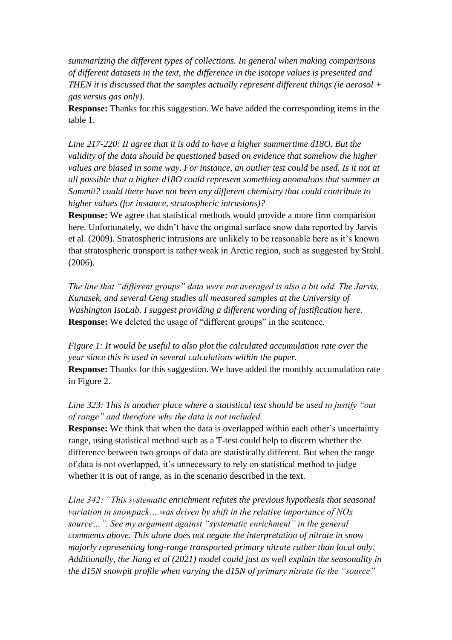*summarizing the different types of collections. In general when making comparisons of different datasets in the text, the difference in the isotope values is presented and THEN it is discussed that the samples actually represent different things (ie aerosol + gas versus gas only).*

**Response:** Thanks for this suggestion. We have added the corresponding items in the table 1.

*Line 217-220: II agree that it is odd to have a higher summertime d18O. But the validity of the data should be questioned based on evidence that somehow the higher values are biased in some way. For instance, an outlier test could be used. Is it not at all possible that a higher d18O could represent something anomalous that summer at Summit? could there have not been any different chemistry that could contribute to higher values (for instance, stratospheric intrusions)?*

**Response:** We agree that statistical methods would provide a more firm comparison here. Unfortunately, we didn't have the original surface snow data reported by Jarvis et al. (2009). Stratospheric intrusions are unlikely to be reasonable here as it's known that stratospheric transport is rather weak in Arctic region, such as suggested by Stohl. (2006).

*The line that "different groups" data were not averaged is also a bit odd. The Jarvis, Kunasek, and several Geng studies all measured samples at the University of Washington IsoLab. I suggest providing a different wording of justification here.* **Response:** We deleted the usage of "different groups" in the sentence.

*Figure 1: It would be useful to also plot the calculated accumulation rate over the year since this is used in several calculations within the paper.* **Response:** Thanks for this suggestion. We have added the monthly accumulation rate in Figure 2.

*Line 323: This is another place where a statistical test should be used to justify "out of range" and therefore why the data is not included.*

**Response:** We think that when the data is overlapped within each other's uncertainty range, using statistical method such as a T-test could help to discern whether the difference between two groups of data are statistically different. But when the range of data is not overlapped, it's unnecessary to rely on statistical method to judge whether it is out of range, as in the scenario described in the text.

*Line 342: "This systematic enrichment refutes the previous hypothesis that seasonal variation in snowpack….was driven by shift in the relative importance of NOx source…". See my argument against "systematic enrichment" in the general comments above. This alone does not negate the interpretation of nitrate in snow majorly representing long-range transported primary nitrate rather than local only. Additionally, the Jiang et al (2021) model could just as well explain the seasonality in the d15N snowpit profile when varying the d15N of primary nitrate (ie the "source"*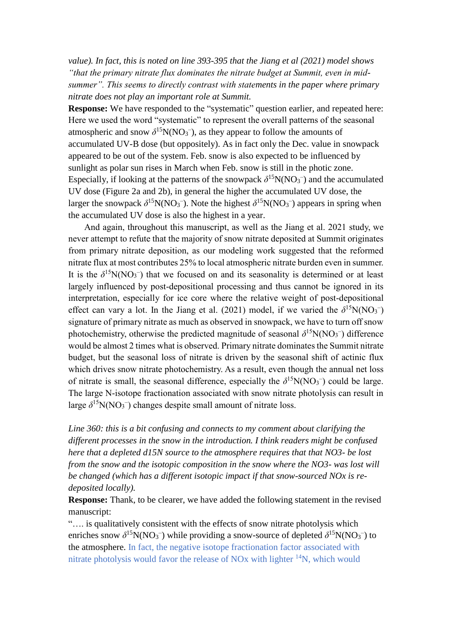*value). In fact, this is noted on line 393-395 that the Jiang et al (2021) model shows "that the primary nitrate flux dominates the nitrate budget at Summit, even in midsummer". This seems to directly contrast with statements in the paper where primary nitrate does not play an important role at Summit.*

**Response:** We have responded to the "systematic" question earlier, and repeated here: Here we used the word "systematic" to represent the overall patterns of the seasonal atmospheric and snow  $\delta^{15}N(NO_3^-)$ , as they appear to follow the amounts of accumulated UV-B dose (but oppositely). As in fact only the Dec. value in snowpack appeared to be out of the system. Feb. snow is also expected to be influenced by sunlight as polar sun rises in March when Feb. snow is still in the photic zone. Especially, if looking at the patterns of the snowpack  $\delta^{15}N(NO_3^-)$  and the accumulated UV dose (Figure 2a and 2b), in general the higher the accumulated UV dose, the larger the snowpack  $\delta^{15}N(NO_3)$ . Note the highest  $\delta^{15}N(NO_3)$  appears in spring when the accumulated UV dose is also the highest in a year.

And again, throughout this manuscript, as well as the Jiang et al. 2021 study, we never attempt to refute that the majority of snow nitrate deposited at Summit originates from primary nitrate deposition, as our modeling work suggested that the reformed nitrate flux at most contributes 25% to local atmospheric nitrate burden even in summer. It is the  $\delta^{15}N(NO_3^-)$  that we focused on and its seasonality is determined or at least largely influenced by post-depositional processing and thus cannot be ignored in its interpretation, especially for ice core where the relative weight of post-depositional effect can vary a lot. In the Jiang et al. (2021) model, if we varied the  $\delta^{15}N(NO_3^-)$ signature of primary nitrate as much as observed in snowpack, we have to turn off snow photochemistry, otherwise the predicted magnitude of seasonal  $\delta^{15}N(NO_3^-)$  difference would be almost 2 times what is observed. Primary nitrate dominates the Summit nitrate budget, but the seasonal loss of nitrate is driven by the seasonal shift of actinic flux which drives snow nitrate photochemistry. As a result, even though the annual net loss of nitrate is small, the seasonal difference, especially the  $\delta^{15}N(NO_3^-)$  could be large. The large N-isotope fractionation associated with snow nitrate photolysis can result in large  $\delta^{15}N(NO_3^-)$  changes despite small amount of nitrate loss.

*Line 360: this is a bit confusing and connects to my comment about clarifying the different processes in the snow in the introduction. I think readers might be confused here that a depleted d15N source to the atmosphere requires that that NO3- be lost from the snow and the isotopic composition in the snow where the NO3- was lost will be changed (which has a different isotopic impact if that snow-sourced NOx is redeposited locally).*

**Response:** Thank, to be clearer, we have added the following statement in the revised manuscript:

"…. is qualitatively consistent with the effects of snow nitrate photolysis which enriches snow  $\delta^{15}N(NO_3^-)$  while providing a snow-source of depleted  $\delta^{15}N(NO_3^-)$  to the atmosphere. In fact, the negative isotope fractionation factor associated with nitrate photolysis would favor the release of NO<sub>x</sub> with lighter  $14$ N, which would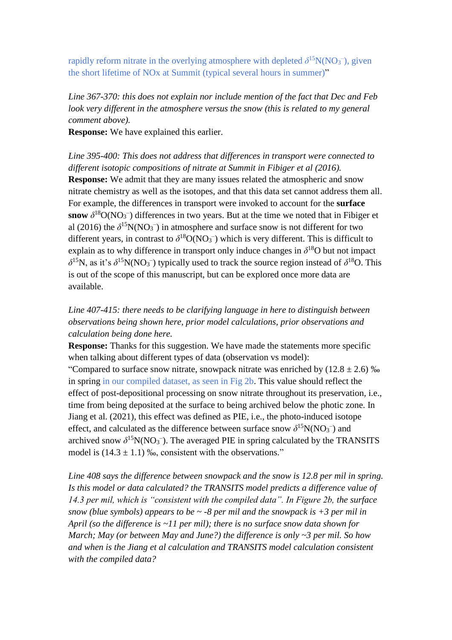rapidly reform nitrate in the overlying atmosphere with depleted  $\delta^{15}N(NO_3^-)$ , given the short lifetime of NOx at Summit (typical several hours in summer)"

*Line 367-370: this does not explain nor include mention of the fact that Dec and Feb look very different in the atmosphere versus the snow (this is related to my general comment above).*

**Response:** We have explained this earlier.

*Line 395-400: This does not address that differences in transport were connected to different isotopic compositions of nitrate at Summit in Fibiger et al (2016).* **Response:** We admit that they are many issues related the atmospheric and snow nitrate chemistry as well as the isotopes, and that this data set cannot address them all. For example, the differences in transport were invoked to account for the **surface snow**  $\delta^{18}O(NO_3^-)$  differences in two years. But at the time we noted that in Fibiger et al (2016) the  $\delta^{15}N(NO_3^-)$  in atmosphere and surface snow is not different for two different years, in contrast to  $\delta^{18}O(NO_3^-)$  which is very different. This is difficult to explain as to why difference in transport only induce changes in  $\delta^{18}O$  but not impact  $\delta^{15}$ N, as it's  $\delta^{15}$ N(NO<sub>3</sub><sup>-</sup>) typically used to track the source region instead of  $\delta^{18}$ O. This is out of the scope of this manuscript, but can be explored once more data are available.

*Line 407-415: there needs to be clarifying language in here to distinguish between observations being shown here, prior model calculations, prior observations and calculation being done here.*

**Response:** Thanks for this suggestion. We have made the statements more specific when talking about different types of data (observation vs model): "Compared to surface snow nitrate, snowpack nitrate was enriched by  $(12.8 \pm 2.6)$  % in spring in our compiled dataset, as seen in Fig 2b. This value should reflect the effect of post-depositional processing on snow nitrate throughout its preservation, i.e., time from being deposited at the surface to being archived below the photic zone. In Jiang et al. (2021), this effect was defined as PIE, i.e., the photo-induced isotope effect, and calculated as the difference between surface snow  $\delta^{15}N(NO_3^-)$  and archived snow  $\delta^{15}N(NO_3^-)$ . The averaged PIE in spring calculated by the TRANSITS model is  $(14.3 \pm 1.1)$  ‰, consistent with the observations."

*Line 408 says the difference between snowpack and the snow is 12.8 per mil in spring. Is this model or data calculated? the TRANSITS model predicts a difference value of 14.3 per mil, which is "consistent with the compiled data". In Figure 2b, the surface snow (blue symbols) appears to be*  $\sim$  *-8 per mil and the snowpack is +3 per mil in April (so the difference is ~11 per mil); there is no surface snow data shown for March; May (or between May and June?) the difference is only ~3 per mil. So how and when is the Jiang et al calculation and TRANSITS model calculation consistent with the compiled data?*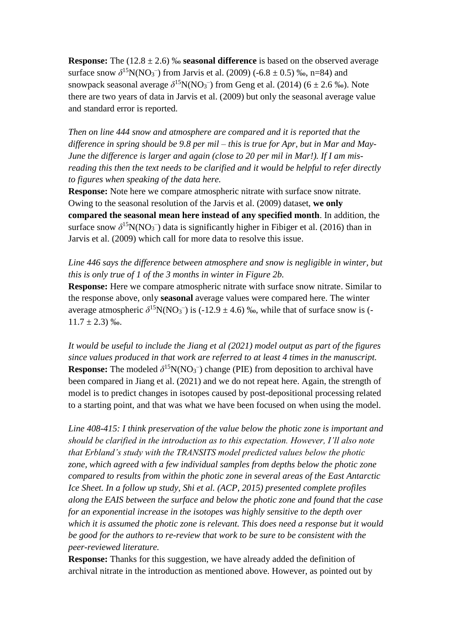**Response:** The  $(12.8 \pm 2.6)$  ‰ **seasonal difference** is based on the observed average surface snow  $\delta^{15}N(NO_3^-)$  from Jarvis et al. (2009) (-6.8  $\pm$  0.5) ‰, n=84) and snowpack seasonal average  $\delta^{15}N(NO_3^-)$  from Geng et al. (2014) (6  $\pm$  2.6 ‰). Note there are two years of data in Jarvis et al. (2009) but only the seasonal average value and standard error is reported.

*Then on line 444 snow and atmosphere are compared and it is reported that the difference in spring should be 9.8 per mil – this is true for Apr, but in Mar and May-June the difference is larger and again (close to 20 per mil in Mar!). If I am misreading this then the text needs to be clarified and it would be helpful to refer directly to figures when speaking of the data here.*

**Response:** Note here we compare atmospheric nitrate with surface snow nitrate. Owing to the seasonal resolution of the Jarvis et al. (2009) dataset, **we only compared the seasonal mean here instead of any specified month**. In addition, the surface snow  $\delta^{15}N(NO_3^-)$  data is significantly higher in Fibiger et al. (2016) than in Jarvis et al. (2009) which call for more data to resolve this issue.

*Line 446 says the difference between atmosphere and snow is negligible in winter, but this is only true of 1 of the 3 months in winter in Figure 2b.*

**Response:** Here we compare atmospheric nitrate with surface snow nitrate. Similar to the response above, only **seasonal** average values were compared here. The winter average atmospheric  $\delta^{15}N(NO_3^-)$  is (-12.9  $\pm$  4.6) ‰, while that of surface snow is (- $11.7 \pm 2.3$ ) ‰.

*It would be useful to include the Jiang et al (2021) model output as part of the figures since values produced in that work are referred to at least 4 times in the manuscript.* **Response:** The modeled  $\delta^{15}N(NO_3^-)$  change (PIE) from deposition to archival have been compared in Jiang et al. (2021) and we do not repeat here. Again, the strength of model is to predict changes in isotopes caused by post-depositional processing related to a starting point, and that was what we have been focused on when using the model.

*Line 408-415: I think preservation of the value below the photic zone is important and should be clarified in the introduction as to this expectation. However, I'll also note that Erbland's study with the TRANSITS model predicted values below the photic zone, which agreed with a few individual samples from depths below the photic zone compared to results from within the photic zone in several areas of the East Antarctic Ice Sheet. In a follow up study, Shi et al. (ACP, 2015) presented complete profiles along the EAIS between the surface and below the photic zone and found that the case for an exponential increase in the isotopes was highly sensitive to the depth over which it is assumed the photic zone is relevant. This does need a response but it would be good for the authors to re-review that work to be sure to be consistent with the peer-reviewed literature.*

**Response:** Thanks for this suggestion, we have already added the definition of archival nitrate in the introduction as mentioned above. However, as pointed out by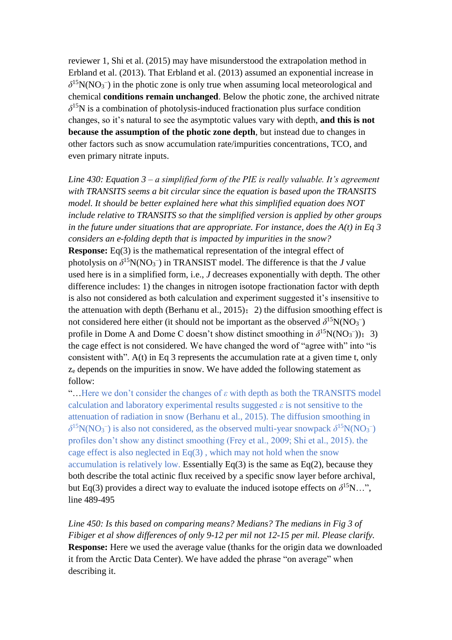reviewer 1, Shi et al. (2015) may have misunderstood the extrapolation method in Erbland et al. (2013). That Erbland et al. (2013) assumed an exponential increase in  $\delta$ <sup>15</sup>N(NO<sub>3</sub><sup>-</sup>) in the photic zone is only true when assuming local meteorological and chemical **conditions remain unchanged**. Below the photic zone, the archived nitrate  $\delta$ <sup>15</sup>N is a combination of photolysis-induced fractionation plus surface condition changes, so it's natural to see the asymptotic values vary with depth, **and this is not because the assumption of the photic zone depth**, but instead due to changes in other factors such as snow accumulation rate/impurities concentrations, TCO, and even primary nitrate inputs.

*Line 430: Equation 3 – a simplified form of the PIE is really valuable. It's agreement with TRANSITS seems a bit circular since the equation is based upon the TRANSITS model. It should be better explained here what this simplified equation does NOT include relative to TRANSITS so that the simplified version is applied by other groups in the future under situations that are appropriate. For instance, does the A(t) in Eq 3 considers an e-folding depth that is impacted by impurities in the snow?* **Response:** Eq(3) is the mathematical representation of the integral effect of photolysis on  $\delta^{15}N(NO_3^-)$  in TRANSIST model. The difference is that the *J* value used here is in a simplified form, i.e., *J* decreases exponentially with depth. The other difference includes: 1) the changes in nitrogen isotope fractionation factor with depth is also not considered as both calculation and experiment suggested it's insensitive to the attenuation with depth (Berhanu et al., 2015); 2) the diffusion smoothing effect is not considered here either (it should not be important as the observed  $\delta^{15}N(NO_3^-)$ profile in Dome A and Dome C doesn't show distinct smoothing in  $\delta^{15}N(NO_3^-)$ ; 3) the cage effect is not considered. We have changed the word of "agree with" into "is consistent with". A(t) in Eq 3 represents the accumulation rate at a given time t, only z<sup>e</sup> depends on the impurities in snow. We have added the following statement as follow:

"…Here we don't consider the changes of *ε* with depth as both the TRANSITS model calculation and laboratory experimental results suggested *ε* is not sensitive to the attenuation of radiation in snow (Berhanu et al., 2015). The diffusion smoothing in  $\delta^{15}N(NO_3^-)$  is also not considered, as the observed multi-year snowpack  $\delta^{15}N(NO_3^-)$ profiles don't show any distinct smoothing (Frey et al., 2009; Shi et al., 2015). the cage effect is also neglected in  $Eq(3)$ , which may not hold when the snow accumulation is relatively low. Essentially  $Eq(3)$  is the same as  $Eq(2)$ , because they both describe the total actinic flux received by a specific snow layer before archival, but Eq(3) provides a direct way to evaluate the induced isotope effects on  $\delta^{15}N...$ ", line 489-495

*Line 450: Is this based on comparing means? Medians? The medians in Fig 3 of Fibiger et al show differences of only 9-12 per mil not 12-15 per mil. Please clarify.* **Response:** Here we used the average value (thanks for the origin data we downloaded it from the Arctic Data Center). We have added the phrase "on average" when describing it.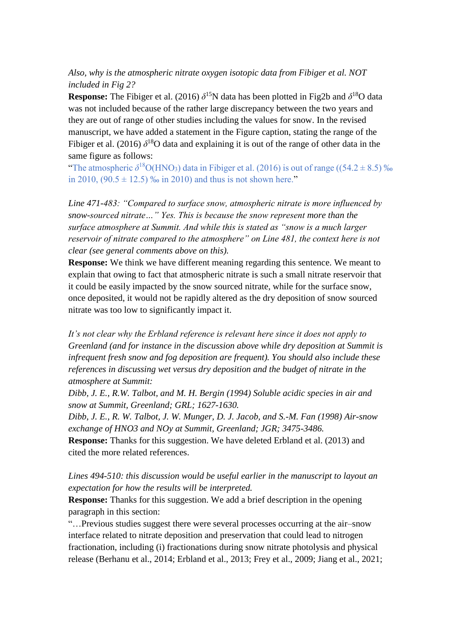*Also, why is the atmospheric nitrate oxygen isotopic data from Fibiger et al. NOT included in Fig 2?* 

**Response:** The Fibiger et al. (2016)  $\delta^{15}N$  data has been plotted in Fig2b and  $\delta^{18}O$  data was not included because of the rather large discrepancy between the two years and they are out of range of other studies including the values for snow. In the revised manuscript, we have added a statement in the Figure caption, stating the range of the Fibiger et al. (2016)  $\delta^{18}$ O data and explaining it is out of the range of other data in the same figure as follows:

"The atmospheric  $\delta^{18}O(HNO_3)$  data in Fibiger et al. (2016) is out of range ((54.2  $\pm$  8.5) ‰ in 2010,  $(90.5 \pm 12.5)$  % in 2010) and thus is not shown here."

*Line 471-483: "Compared to surface snow, atmospheric nitrate is more influenced by snow-sourced nitrate…" Yes. This is because the snow represent more than the surface atmosphere at Summit. And while this is stated as "snow is a much larger reservoir of nitrate compared to the atmosphere" on Line 481, the context here is not clear (see general comments above on this).*

**Response:** We think we have different meaning regarding this sentence. We meant to explain that owing to fact that atmospheric nitrate is such a small nitrate reservoir that it could be easily impacted by the snow sourced nitrate, while for the surface snow, once deposited, it would not be rapidly altered as the dry deposition of snow sourced nitrate was too low to significantly impact it.

*It's not clear why the Erbland reference is relevant here since it does not apply to Greenland (and for instance in the discussion above while dry deposition at Summit is infrequent fresh snow and fog deposition are frequent). You should also include these references in discussing wet versus dry deposition and the budget of nitrate in the atmosphere at Summit:*

*Dibb, J. E., R.W. Talbot, and M. H. Bergin (1994) Soluble acidic species in air and snow at Summit, Greenland; GRL; 1627-1630.*

*Dibb, J. E., R. W. Talbot, J. W. Munger, D. J. Jacob, and S.-M. Fan (1998) Air-snow exchange of HNO3 and NOy at Summit, Greenland; JGR; 3475-3486.*

**Response:** Thanks for this suggestion. We have deleted Erbland et al. (2013) and cited the more related references.

*Lines 494-510: this discussion would be useful earlier in the manuscript to layout an expectation for how the results will be interpreted.*

**Response:** Thanks for this suggestion. We add a brief description in the opening paragraph in this section:

"…Previous studies suggest there were several processes occurring at the air–snow interface related to nitrate deposition and preservation that could lead to nitrogen fractionation, including (i) fractionations during snow nitrate photolysis and physical release (Berhanu et al., 2014; Erbland et al., 2013; Frey et al., 2009; Jiang et al., 2021;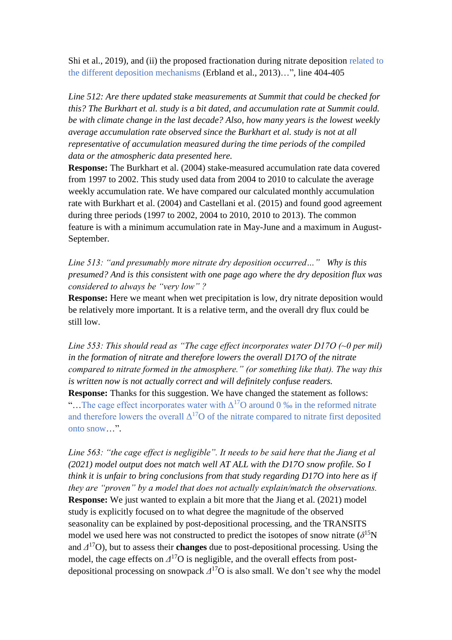Shi et al., 2019), and (ii) the proposed fractionation during nitrate deposition related to the different deposition mechanisms (Erbland et al., 2013)…", line 404-405

*Line 512: Are there updated stake measurements at Summit that could be checked for this? The Burkhart et al. study is a bit dated, and accumulation rate at Summit could. be with climate change in the last decade? Also, how many years is the lowest weekly average accumulation rate observed since the Burkhart et al. study is not at all representative of accumulation measured during the time periods of the compiled data or the atmospheric data presented here.*

**Response:** The Burkhart et al. (2004) stake-measured accumulation rate data covered from 1997 to 2002. This study used data from 2004 to 2010 to calculate the average weekly accumulation rate. We have compared our calculated monthly accumulation rate with Burkhart et al. (2004) and Castellani et al. (2015) and found good agreement during three periods (1997 to 2002, 2004 to 2010, 2010 to 2013). The common feature is with a minimum accumulation rate in May-June and a maximum in August-September.

*Line 513: "and presumably more nitrate dry deposition occurred…" Why is this presumed? And is this consistent with one page ago where the dry deposition flux was considered to always be "very low" ?*

**Response:** Here we meant when wet precipitation is low, dry nitrate deposition would be relatively more important. It is a relative term, and the overall dry flux could be still low.

*Line 553: This should read as "The cage effect incorporates water D17O (~0 per mil) in the formation of nitrate and therefore lowers the overall D17O of the nitrate compared to nitrate formed in the atmosphere." (or something like that). The way this is written now is not actually correct and will definitely confuse readers.* **Response:** Thanks for this suggestion. We have changed the statement as follows: "...The cage effect incorporates water with  $\Delta^{17}$ O around 0 ‰ in the reformed nitrate and therefore lowers the overall  $\Delta^{17}$ O of the nitrate compared to nitrate first deposited

onto snow…".

*Line 563: "the cage effect is negligible". It needs to be said here that the Jiang et al (2021) model output does not match well AT ALL with the D17O snow profile. So I think it is unfair to bring conclusions from that study regarding D17O into here as if they are "proven" by a model that does not actually explain/match the observations.* **Response:** We just wanted to explain a bit more that the Jiang et al. (2021) model study is explicitly focused on to what degree the magnitude of the observed seasonality can be explained by post-depositional processing, and the TRANSITS model we used here was not constructed to predict the isotopes of snow nitrate  $(\delta^{15}N)$ and *Δ* <sup>17</sup>O), but to assess their **changes** due to post-depositional processing. Using the model, the cage effects on  $\Delta^{17}O$  is negligible, and the overall effects from postdepositional processing on snowpack *Δ* <sup>17</sup>O is also small. We don't see why the model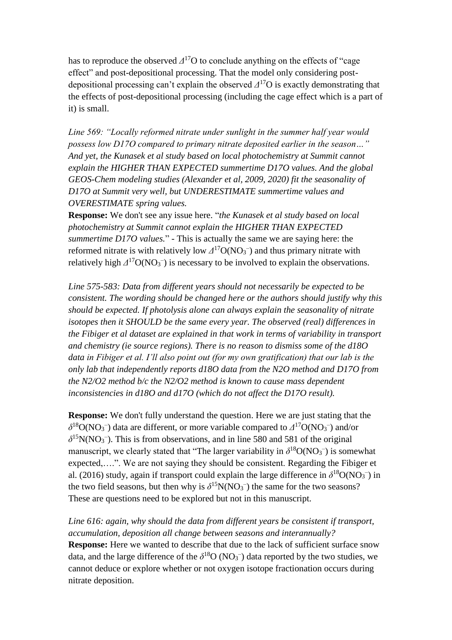has to reproduce the observed *Δ* <sup>17</sup>O to conclude anything on the effects of "cage effect" and post-depositional processing. That the model only considering postdepositional processing can't explain the observed *Δ* <sup>17</sup>O is exactly demonstrating that the effects of post-depositional processing (including the cage effect which is a part of it) is small.

*Line 569: "Locally reformed nitrate under sunlight in the summer half year would possess low D17O compared to primary nitrate deposited earlier in the season…" And yet, the Kunasek et al study based on local photochemistry at Summit cannot explain the HIGHER THAN EXPECTED summertime D17O values. And the global GEOS-Chem modeling studies (Alexander et al, 2009, 2020) fit the seasonality of D17O at Summit very well, but UNDERESTIMATE summertime values and OVERESTIMATE spring values.*

**Response:** We don't see any issue here. "*the Kunasek et al study based on local photochemistry at Summit cannot explain the HIGHER THAN EXPECTED summertime D17O values.*" - This is actually the same we are saying here: the reformed nitrate is with relatively low  $\Delta^{17}O(NO_3^-)$  and thus primary nitrate with relatively high  $\Delta^{17}O(NO_3^-)$  is necessary to be involved to explain the observations.

*Line 575-583: Data from different years should not necessarily be expected to be consistent. The wording should be changed here or the authors should justify why this should be expected. If photolysis alone can always explain the seasonality of nitrate isotopes then it SHOULD be the same every year. The observed (real) differences in the Fibiger et al dataset are explained in that work in terms of variability in transport and chemistry (ie source regions). There is no reason to dismiss some of the d18O data in Fibiger et al. I'll also point out (for my own gratification) that our lab is the only lab that independently reports d18O data from the N2O method and D17O from the N2/O2 method b/c the N2/O2 method is known to cause mass dependent inconsistencies in d18O and d17O (which do not affect the D17O result).*

**Response:** We don't fully understand the question. Here we are just stating that the  $\delta^{18}O(NO_3^-)$  data are different, or more variable compared to  $\Delta^{17}O(NO_3^-)$  and/or  $\delta$ <sup>15</sup>N(NO<sub>3</sub><sup>-</sup>). This is from observations, and in line 580 and 581 of the original manuscript, we clearly stated that "The larger variability in  $\delta^{18}O(NO_3^-)$  is somewhat expected,….". We are not saying they should be consistent. Regarding the Fibiger et al. (2016) study, again if transport could explain the large difference in  $\delta^{18}O(NO_3^-)$  in the two field seasons, but then why is  $\delta^{15}N(NO_3^-)$  the same for the two seasons? These are questions need to be explored but not in this manuscript.

*Line 616: again, why should the data from different years be consistent if transport, accumulation, deposition all change between seasons and interannually?* **Response:** Here we wanted to describe that due to the lack of sufficient surface snow data, and the large difference of the  $\delta^{18}O(NO_3)$  data reported by the two studies, we cannot deduce or explore whether or not oxygen isotope fractionation occurs during nitrate deposition.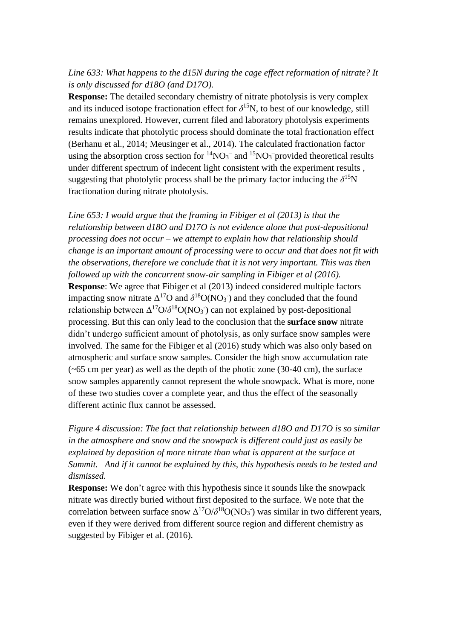# *Line 633: What happens to the d15N during the cage effect reformation of nitrate? It is only discussed for d18O (and D17O).*

**Response:** The detailed secondary chemistry of nitrate photolysis is very complex and its induced isotope fractionation effect for  $\delta^{15}N$ , to best of our knowledge, still remains unexplored. However, current filed and laboratory photolysis experiments results indicate that photolytic process should dominate the total fractionation effect (Berhanu et al., 2014; Meusinger et al., 2014). The calculated fractionation factor using the absorption cross section for  ${}^{14}NO_3^-$  and  ${}^{15}NO_3^-$  provided theoretical results under different spectrum of indecent light consistent with the experiment results , suggesting that photolytic process shall be the primary factor inducing the  $\delta^{15}N$ fractionation during nitrate photolysis.

*Line 653: I would argue that the framing in Fibiger et al (2013) is that the relationship between d18O and D17O is not evidence alone that post-depositional processing does not occur – we attempt to explain how that relationship should change is an important amount of processing were to occur and that does not fit with the observations, therefore we conclude that it is not very important. This was then followed up with the concurrent snow-air sampling in Fibiger et al (2016).* **Response**: We agree that Fibiger et al (2013) indeed considered multiple factors impacting snow nitrate  $\Delta^{17}O$  and  $\delta^{18}O(NO_3^-)$  and they concluded that the found relationship between  $\Delta^{17}O/\delta^{18}O(NO_3)$  can not explained by post-depositional processing. But this can only lead to the conclusion that the **surface snow** nitrate didn't undergo sufficient amount of photolysis, as only surface snow samples were involved. The same for the Fibiger et al (2016) study which was also only based on atmospheric and surface snow samples. Consider the high snow accumulation rate (~65 cm per year) as well as the depth of the photic zone (30-40 cm), the surface snow samples apparently cannot represent the whole snowpack. What is more, none of these two studies cover a complete year, and thus the effect of the seasonally different actinic flux cannot be assessed.

*Figure 4 discussion: The fact that relationship between d18O and D17O is so similar in the atmosphere and snow and the snowpack is different could just as easily be explained by deposition of more nitrate than what is apparent at the surface at Summit. And if it cannot be explained by this, this hypothesis needs to be tested and dismissed.*

**Response:** We don't agree with this hypothesis since it sounds like the snowpack nitrate was directly buried without first deposited to the surface. We note that the correlation between surface snow  $\Delta^{17}O/\delta^{18}O(NO_3)$  was similar in two different years, even if they were derived from different source region and different chemistry as suggested by Fibiger et al. (2016).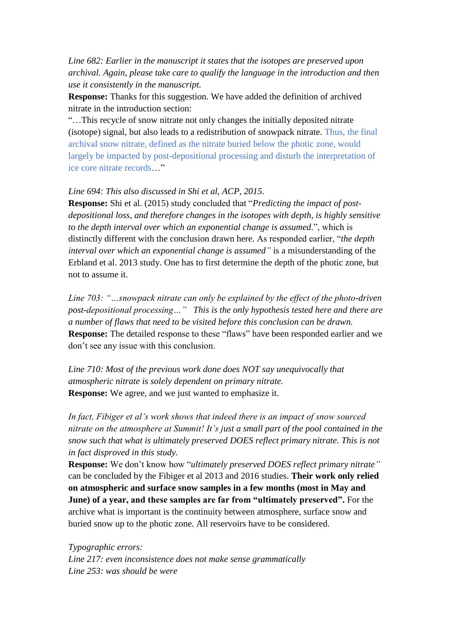*Line 682: Earlier in the manuscript it states that the isotopes are preserved upon archival. Again, please take care to qualify the language in the introduction and then use it consistently in the manuscript.*

**Response:** Thanks for this suggestion. We have added the definition of archived nitrate in the introduction section:

"…This recycle of snow nitrate not only changes the initially deposited nitrate (isotope) signal, but also leads to a redistribution of snowpack nitrate. Thus, the final archival snow nitrate, defined as the nitrate buried below the photic zone, would largely be impacted by post-depositional processing and disturb the interpretation of ice core nitrate records…"

### *Line 694: This also discussed in Shi et al, ACP, 2015.*

**Response:** Shi et al. (2015) study concluded that "*Predicting the impact of postdepositional loss, and therefore changes in the isotopes with depth, is highly sensitive to the depth interval over which an exponential change is assumed*.", which is distinctly different with the conclusion drawn here. As responded earlier, "*the depth interval over which an exponential change is assumed"* is a misunderstanding of the Erbland et al. 2013 study. One has to first determine the depth of the photic zone, but not to assume it.

*Line 703: "…snowpack nitrate can only be explained by the effect of the photo-driven post-depositional processing…" This is the only hypothesis tested here and there are a number of flaws that need to be visited before this conclusion can be drawn.* **Response:** The detailed response to these "flaws" have been responded earlier and we don't see any issue with this conclusion.

*Line 710: Most of the previous work done does NOT say unequivocally that atmospheric nitrate is solely dependent on primary nitrate.* **Response:** We agree, and we just wanted to emphasize it.

*In fact, Fibiger et al's work shows that indeed there is an impact of snow sourced nitrate on the atmosphere at Summit! It's just a small part of the pool contained in the snow such that what is ultimately preserved DOES reflect primary nitrate. This is not in fact disproved in this study.*

**Response:** We don't know how "*ultimately preserved DOES reflect primary nitrate"*  can be concluded by the Fibiger et al 2013 and 2016 studies. **Their work only relied on atmospheric and surface snow samples in a few months (most in May and June) of a year, and these samples are far from "ultimately preserved".** For the archive what is important is the continuity between atmosphere, surface snow and buried snow up to the photic zone. All reservoirs have to be considered.

*Typographic errors: Line 217: even inconsistence does not make sense grammatically Line 253: was should be were*